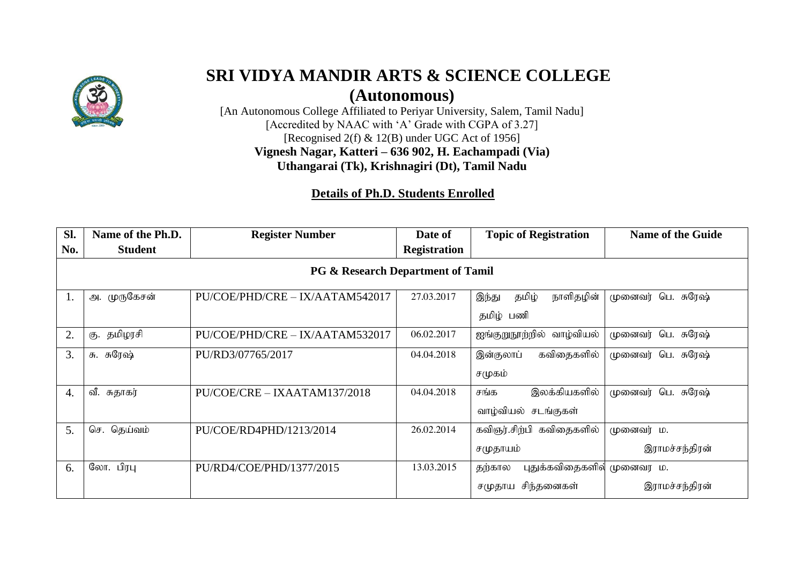

## **SRI VIDYA MANDIR ARTS & SCIENCE COLLEGE**

**(Autonomous)**

[An Autonomous College Affiliated to Periyar University, Salem, Tamil Nadu] [Accredited by NAAC with 'A' Grade with CGPA of 3.27] [Recognised 2(f) & 12(B) under UGC Act of 1956] **Vignesh Nagar, Katteri – 636 902, H. Eachampadi (Via) Uthangarai (Tk), Krishnagiri (Dt), Tamil Nadu**

## **Details of Ph.D. Students Enrolled**

| SI.                                          | Name of the Ph.D.                     | <b>Register Number</b>          | Date of             | <b>Topic of Registration</b> | <b>Name of the Guide</b> |  |  |
|----------------------------------------------|---------------------------------------|---------------------------------|---------------------|------------------------------|--------------------------|--|--|
| No.                                          | <b>Student</b>                        |                                 | <b>Registration</b> |                              |                          |  |  |
| <b>PG &amp; Research Department of Tamil</b> |                                       |                                 |                     |                              |                          |  |  |
| 1.                                           | அ. முருகேசன்                          | PU/COE/PHD/CRE - IX/AATAM542017 | 27.03.2017          | தமிழ்<br>நாளிதழின்<br>இந்து  | பெ. சுரேஷ்<br>முனைவர்    |  |  |
|                                              |                                       |                                 |                     | தமிழ் பணி                    |                          |  |  |
| 2.                                           | தமிழரசி<br>கு.                        | PU/COE/PHD/CRE - IX/AATAM532017 | 06.02.2017          | வாழ்வியல்<br>ஐங்குறுநூற்றில் | பெ. சுரேஷ்<br>முனைவர்    |  |  |
| 3.                                           | சு. சுரேஷ்                            | PU/RD3/07765/2017               | 04.04.2018          | கவிதைகளில்<br>இன்குலாப்      | முனைவர்<br>பெ. சுரேஷ்    |  |  |
|                                              |                                       |                                 |                     | சமுகம்                       |                          |  |  |
| 4.                                           | வீ. சுதாகர்                           | PU/COE/CRE - IXAATAM137/2018    | 04.04.2018          | இலக்கியகளில்<br>சங்க         | முனைவர்<br>பெ. சுரேஷ்    |  |  |
|                                              |                                       |                                 |                     | வாழ்வியல் சடங்குகள்          |                          |  |  |
| 5.                                           | $\mathbb{G} \mathfrak{F}.$<br>தெய்வம் | PU/COE/RD4PHD/1213/2014         | 26.02.2014          | கவிஞர்.சிற்பி கவிதைகளில்     | முனைவர் ம.               |  |  |
|                                              |                                       |                                 |                     | சமுதாயம்                     | இராமச்சந்திரன்           |  |  |
| 6.                                           | லோ. பிரபு                             | PU/RD4/COE/PHD/1377/2015        | 13.03.2015          | புதுக்கவிதைகளில்<br>தற்கால   | முனைவர ம.                |  |  |
|                                              |                                       |                                 |                     | சிந்தனைகள்<br>சமுதாய         | இராமச்சந்திரன்           |  |  |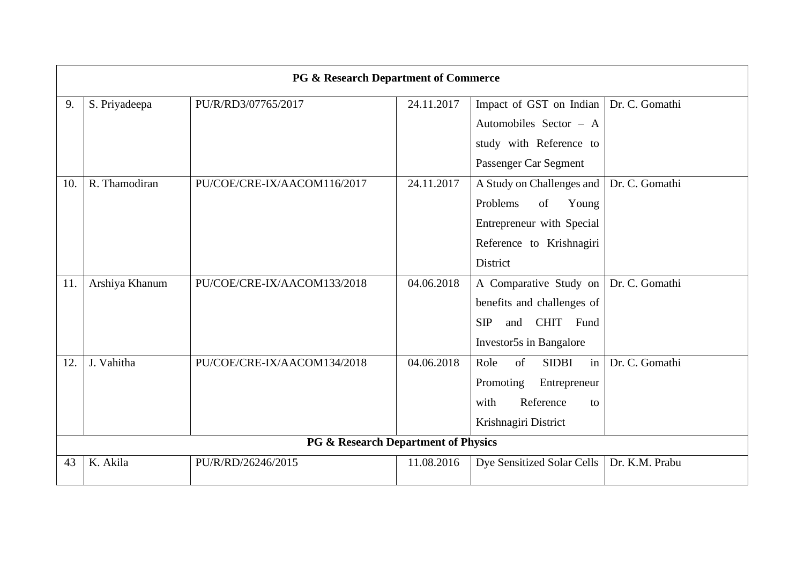| PG & Research Department of Commerce |                |                             |            |                                  |                |  |
|--------------------------------------|----------------|-----------------------------|------------|----------------------------------|----------------|--|
| 9.                                   | S. Priyadeepa  | PU/R/RD3/07765/2017         | 24.11.2017 | Impact of GST on Indian          | Dr. C. Gomathi |  |
|                                      |                |                             |            | Automobiles Sector - A           |                |  |
|                                      |                |                             |            | study with Reference to          |                |  |
|                                      |                |                             |            | Passenger Car Segment            |                |  |
| 10.                                  | R. Thamodiran  | PU/COE/CRE-IX/AACOM116/2017 | 24.11.2017 | A Study on Challenges and        | Dr. C. Gomathi |  |
|                                      |                |                             |            | Problems<br>of<br>Young          |                |  |
|                                      |                |                             |            | Entrepreneur with Special        |                |  |
|                                      |                |                             |            | Reference to Krishnagiri         |                |  |
|                                      |                |                             |            | <b>District</b>                  |                |  |
| 11.                                  | Arshiya Khanum | PU/COE/CRE-IX/AACOM133/2018 | 04.06.2018 | A Comparative Study on           | Dr. C. Gomathi |  |
|                                      |                |                             |            | benefits and challenges of       |                |  |
|                                      |                |                             |            | CHIT Fund<br><b>SIP</b><br>and   |                |  |
|                                      |                |                             |            | Investor5s in Bangalore          |                |  |
| 12.                                  | J. Vahitha     | PU/COE/CRE-IX/AACOM134/2018 | 04.06.2018 | of<br><b>SIDBI</b><br>in<br>Role | Dr. C. Gomathi |  |
|                                      |                |                             |            | Promoting<br>Entrepreneur        |                |  |
|                                      |                |                             |            | Reference<br>with<br>to          |                |  |
|                                      |                |                             |            | Krishnagiri District             |                |  |
| PG & Research Department of Physics  |                |                             |            |                                  |                |  |
| 43                                   | K. Akila       | PU/R/RD/26246/2015          | 11.08.2016 | Dye Sensitized Solar Cells       | Dr. K.M. Prabu |  |